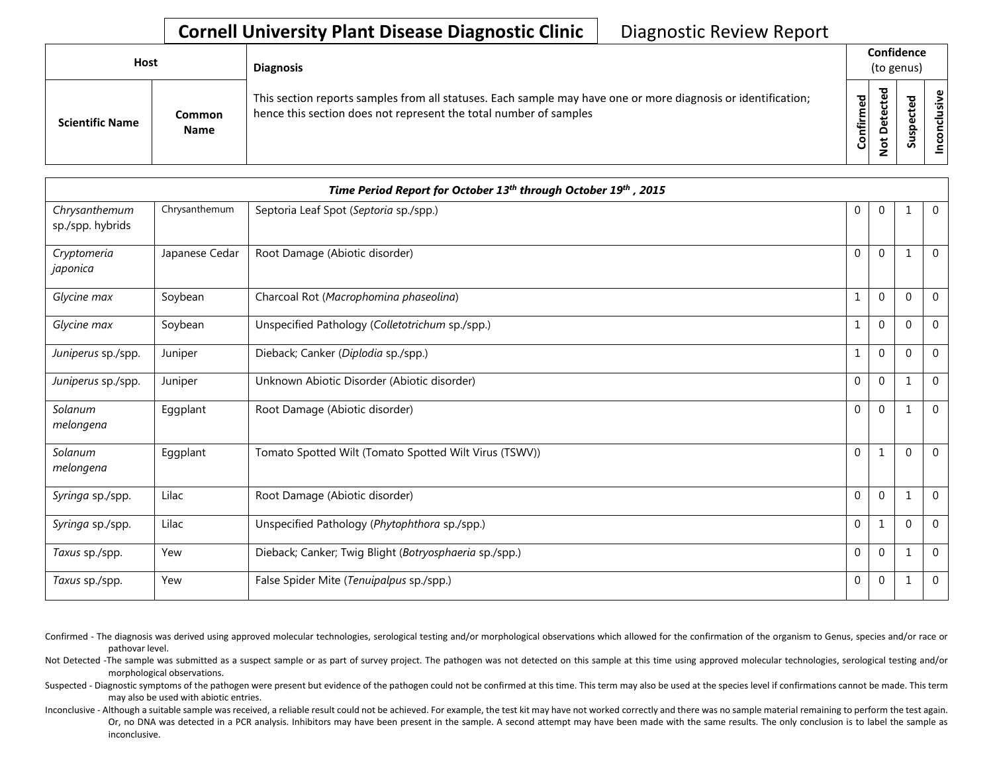## **Cornell University Plant Disease Diagnostic Clinic** | Diagnostic Review Report

| Host                   |                              | <b>Diagnosis</b>                                                                                                                                                                   |           | Confidence<br>(to genus)                    |   |                |  |  |
|------------------------|------------------------------|------------------------------------------------------------------------------------------------------------------------------------------------------------------------------------|-----------|---------------------------------------------|---|----------------|--|--|
| <b>Scientific Name</b> | <b>Common</b><br><b>Name</b> | This section reports samples from all statuses. Each sample may have one or more diagnosis or identification;<br>hence this section does not represent the total number of samples | Confirmed | ᇃ<br>Φ<br>も<br>$\circ$<br>پ<br>$\circ$<br>– | ശ | ω<br>usiv<br>ᇹ |  |  |

|                                   |                | Time Period Report for October 13th through October 19th, 2015 |              |              |              |                |
|-----------------------------------|----------------|----------------------------------------------------------------|--------------|--------------|--------------|----------------|
| Chrysanthemum<br>sp./spp. hybrids | Chrysanthemum  | Septoria Leaf Spot (Septoria sp./spp.)                         | $\mathbf 0$  | $\mathbf 0$  |              | $\overline{0}$ |
| Cryptomeria<br>japonica           | Japanese Cedar | Root Damage (Abiotic disorder)                                 | $\Omega$     | $\mathbf{0}$ |              | $\overline{0}$ |
| Glycine max                       | Soybean        | Charcoal Rot (Macrophomina phaseolina)                         |              | $\mathbf{0}$ | $\Omega$     | $\mathbf 0$    |
| Glycine max                       | Soybean        | Unspecified Pathology (Colletotrichum sp./spp.)                |              | $\mathbf{0}$ | $\Omega$     | $\mathbf 0$    |
| Juniperus sp./spp.                | Juniper        | Dieback; Canker (Diplodia sp./spp.)                            |              | $\mathbf{0}$ | $\Omega$     | $\mathbf 0$    |
| Juniperus sp./spp.                | Juniper        | Unknown Abiotic Disorder (Abiotic disorder)                    | $\mathbf 0$  | $\mathbf 0$  | $\mathbf 1$  | $\mathbf 0$    |
| Solanum<br>melongena              | Eggplant       | Root Damage (Abiotic disorder)                                 | $\mathbf 0$  | $\mathbf{0}$ | 1            | $\mathbf{0}$   |
| Solanum<br>melongena              | Eggplant       | Tomato Spotted Wilt (Tomato Spotted Wilt Virus (TSWV))         | $\mathbf{0}$ | 1            | 0            | $\overline{0}$ |
| Syringa sp./spp.                  | Lilac          | Root Damage (Abiotic disorder)                                 | $\Omega$     | $\mathbf{0}$ | $\mathbf{1}$ | $\overline{0}$ |
| Syringa sp./spp.                  | Lilac          | Unspecified Pathology (Phytophthora sp./spp.)                  | $\Omega$     |              | $\Omega$     | $\mathbf 0$    |
| Taxus sp./spp.                    | Yew            | Dieback; Canker; Twig Blight (Botryosphaeria sp./spp.)         | $\mathbf 0$  | $\mathbf 0$  |              | $\mathbf 0$    |
| Taxus sp./spp.                    | Yew            | False Spider Mite (Tenuipalpus sp./spp.)                       | $\mathbf 0$  | $\mathbf 0$  | 1            | $\mathbf 0$    |

Confirmed - The diagnosis was derived using approved molecular technologies, serological testing and/or morphological observations which allowed for the confirmation of the organism to Genus, species and/or race or pathovar level.

Not Detected -The sample was submitted as a suspect sample or as part of survey project. The pathogen was not detected on this sample at this time using approved molecular technologies, serological testing and/or morphological observations.

Suspected - Diagnostic symptoms of the pathogen were present but evidence of the pathogen could not be confirmed at this time. This term may also be used at the species level if confirmations cannot be made. This term may also be used with abiotic entries.

Inconclusive - Although a suitable sample was received, a reliable result could not be achieved. For example, the test kit may have not worked correctly and there was no sample material remaining to perform the test again. Or, no DNA was detected in a PCR analysis. Inhibitors may have been present in the sample. A second attempt may have been made with the same results. The only conclusion is to label the sample as inconclusive.